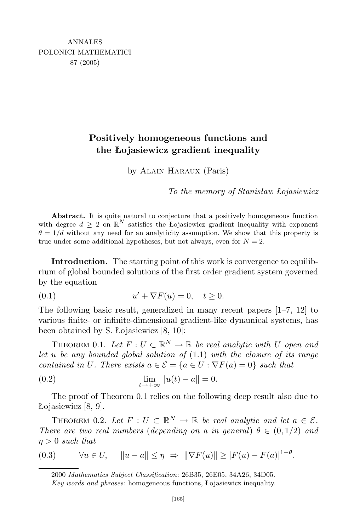## **Positively homogeneous functions and the Łojasiewicz gradient inequality**

by Alain Haraux (Paris)

*To the memory of Stanisław Łojasiewicz*

**Abstract.** It is quite natural to conjecture that a positively homogeneous function with degree  $d \geq 2$  on  $\mathbb{R}^N$  satisfies the Łojasiewicz gradient inequality with exponent  $\theta = 1/d$  without any need for an analyticity assumption. We show that this property is true under some additional hypotheses, but not always, even for  $N = 2$ .

**Introduction.** The starting point of this work is convergence to equilibrium of global bounded solutions of the first order gradient system governed by the equation

(0.1) 
$$
u' + \nabla F(u) = 0, \quad t \ge 0.
$$

The following basic result, generalized in many recent papers [1–7, 12] to various finite- or infinite-dimensional gradient-like dynamical systems, has been obtained by S. Łojasiewicz [8, 10]:

THEOREM 0.1. Let  $F: U \subset \mathbb{R}^N \to \mathbb{R}$  be real analytic with U open and *let u be any bounded global solution of* (1*.*1) *with the closure of its range contained in U. There exists*  $a \in \mathcal{E} = \{a \in U : \nabla F(a) = 0\}$  *such that* 

(0.2) 
$$
\lim_{t \to +\infty} \|u(t) - a\| = 0.
$$

The proof of Theorem 0.1 relies on the following deep result also due to Łojasiewicz [8, 9].

THEOREM 0.2. Let  $F: U \subset \mathbb{R}^N \to \mathbb{R}$  be real analytic and let  $a \in \mathcal{E}$ . *There are two real numbers* (*depending on a in general*)  $\theta \in (0, 1/2)$  *and η >* 0 *such that*

$$
(0.3) \qquad \forall u \in U, \quad \|u - a\| \le \eta \Rightarrow \|\nabla F(u)\| \ge |F(u) - F(a)|^{1-\theta}.
$$

<sup>2000</sup> *Mathematics Subject Classification*: 26B35, 26E05, 34A26, 34D05.

*Key words and phrases*: homogeneous functions, Łojasiewicz inequality.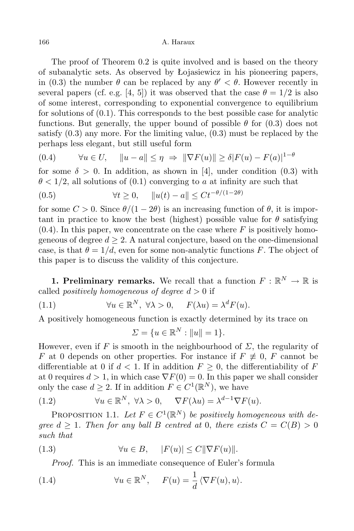The proof of Theorem 0.2 is quite involved and is based on the theory of subanalytic sets. As observed by Łojasiewicz in his pioneering papers, in (0.3) the number  $\theta$  can be replaced by any  $\theta' < \theta$ . However recently in several papers (cf. e.g. [4, 5]) it was observed that the case  $\theta = 1/2$  is also of some interest, corresponding to exponential convergence to equilibrium for solutions of (0.1). This corresponds to the best possible case for analytic functions. But generally, the upper bound of possible  $\theta$  for (0.3) does not satisfy (0.3) any more. For the limiting value, (0.3) must be replaced by the perhaps less elegant, but still useful form

$$
(0.4) \qquad \forall u \in U, \quad \|u - a\| \le \eta \Rightarrow \|\nabla F(u)\| \ge \delta |F(u) - F(a)|^{1-\theta}
$$

for some  $\delta > 0$ . In addition, as shown in [4], under condition (0.3) with  $\theta$  < 1/2, all solutions of (0.1) converging to *a* at infinity are such that

(0.5) 
$$
\forall t \ge 0, \quad ||u(t) - a|| \le Ct^{-\theta/(1-2\theta)}
$$

for some  $C > 0$ . Since  $\theta/(1 - 2\theta)$  is an increasing function of  $\theta$ , it is important in practice to know the best (highest) possible value for  $\theta$  satisfying  $(0.4)$ . In this paper, we concentrate on the case where  $F$  is positively homogeneous of degree  $d \geq 2$ . A natural conjecture, based on the one-dimensional case, is that  $\theta = 1/d$ , even for some non-analytic functions *F*. The object of this paper is to discuss the validity of this conjecture.

**1. Preliminary remarks.** We recall that a function  $F: \mathbb{R}^N \to \mathbb{R}$  is called *positively homogeneous of degree*  $d > 0$  if

(1.1)  $\forall u \in \mathbb{R}^N, \ \forall \lambda > 0, \quad F(\lambda u) = \lambda^d F(u).$ 

A positively homogeneous function is exactly determined by its trace on

$$
\Sigma = \{ u \in \mathbb{R}^N : ||u|| = 1 \}.
$$

However, even if F is smooth in the neighbourhood of  $\Sigma$ , the regularity of *F* at 0 depends on other properties. For instance if  $F \neq 0$ , *F* cannot be differentiable at 0 if  $d < 1$ . If in addition  $F \geq 0$ , the differentiability of F at 0 requires  $d > 1$ , in which case  $\nabla F(0) = 0$ . In this paper we shall consider only the case  $d \geq 2$ . If in addition  $F \in C^1(\mathbb{R}^N)$ , we have

(1.2) 
$$
\forall u \in \mathbb{R}^N, \ \forall \lambda > 0, \quad \nabla F(\lambda u) = \lambda^{d-1} \nabla F(u).
$$

PROPOSITION 1.1. Let  $F \in C^1(\mathbb{R}^N)$  be positively homogeneous with de*gree*  $d \geq 1$ *. Then for any ball B centred at* 0*, there exists*  $C = C(B) > 0$ *such that*

(1.3) 
$$
\forall u \in B, \quad |F(u)| \le C \|\nabla F(u)\|.
$$

*Proof.* This is an immediate consequence of Euler's formula

(1.4) 
$$
\forall u \in \mathbb{R}^N, \quad F(u) = \frac{1}{d} \langle \nabla F(u), u \rangle.
$$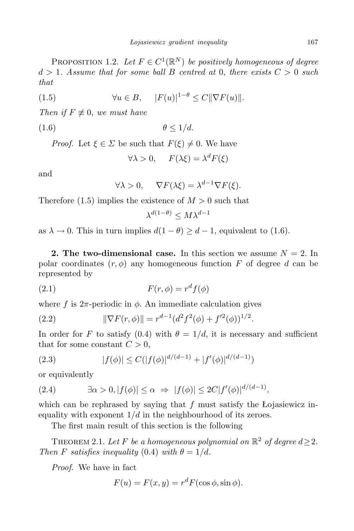PROPOSITION 1.2. Let  $F \in C^1(\mathbb{R}^N)$  be positively homogeneous of degree  $d > 1$ *. Assume that for some ball B centred at 0, there exists*  $C > 0$  *such that*

(1.5) 
$$
\forall u \in B, \quad |F(u)|^{1-\theta} \le C \|\nabla F(u)\|.
$$

*Then if*  $F \not\equiv 0$ , *we must have* 

$$
\theta \le 1/d.
$$

*Proof.* Let  $\xi \in \Sigma$  be such that  $F(\xi) \neq 0$ . We have

$$
\forall \lambda > 0, \quad F(\lambda \xi) = \lambda^d F(\xi)
$$

and

$$
\forall \lambda > 0, \quad \nabla F(\lambda \xi) = \lambda^{d-1} \nabla F(\xi).
$$

Therefore  $(1.5)$  implies the existence of  $M > 0$  such that

$$
\lambda^{d(1-\theta)} \le M\lambda^{d-1}
$$

as  $\lambda \to 0$ . This in turn implies  $d(1 - \theta) \geq d - 1$ , equivalent to (1.6).

**2. The two-dimensional case.** In this section we assume  $N = 2$ . In polar coordinates  $(r, \phi)$  any homogeneous function *F* of degree *d* can be represented by

$$
(2.1) \tF(r,\phi) = r^d f(\phi)
$$

where  $f$  is  $2\pi$ -periodic in  $\phi$ . An immediate calculation gives

(2.2) 
$$
\|\nabla F(r,\phi)\| = r^{d-1} (d^2 f^2(\phi) + f'^2(\phi))^{1/2}.
$$

In order for *F* to satisfy (0.4) with  $\theta = 1/d$ , it is necessary and sufficient that for some constant  $C > 0$ ,

(2.3) 
$$
|f(\phi)| \le C(|f(\phi)|^{d/(d-1)} + |f'(\phi)|^{d/(d-1)})
$$

or equivalently

(2.4) 
$$
\exists \alpha > 0, |f(\phi)| \leq \alpha \Rightarrow |f(\phi)| \leq 2C|f'(\phi)|^{d/(d-1)},
$$

which can be rephrased by saying that *f* must satisfy the Łojasiewicz inequality with exponent  $1/d$  in the neighbourhood of its zeroes.

The first main result of this section is the following

THEOREM 2.1. Let F be a homogeneous polynomial on  $\mathbb{R}^2$  of degree  $d \geq 2$ . *Then F satisfies inequality* (0.4) *with*  $\theta = 1/d$ *.* 

*Proof.* We have in fact

$$
F(u) = F(x, y) = rd F(\cos \phi, \sin \phi).
$$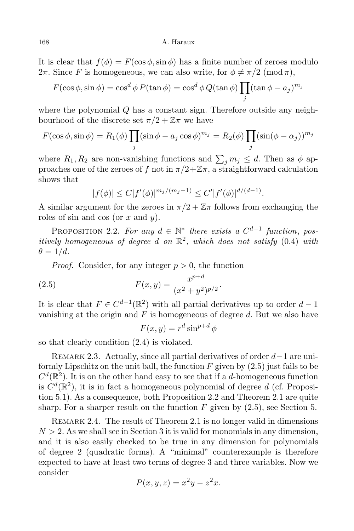It is clear that  $f(\phi) = F(\cos \phi, \sin \phi)$  has a finite number of zeroes modulo 2 $\pi$ . Since *F* is homogeneous, we can also write, for  $\phi \neq \pi/2 \pmod{\pi}$ ,

$$
F(\cos \phi, \sin \phi) = \cos^{d} \phi \, P(\tan \phi) = \cos^{d} \phi \, Q(\tan \phi) \prod_{j} (\tan \phi - a_j)^{m_j}
$$

where the polynomial *Q* has a constant sign. Therefore outside any neighbourhood of the discrete set  $\pi/2 + \mathbb{Z}\pi$  we have

$$
F(\cos \phi, \sin \phi) = R_1(\phi) \prod_j (\sin \phi - a_j \cos \phi)^{m_j} = R_2(\phi) \prod_j (\sin(\phi - \alpha_j))^{m_j}
$$

where  $R_1, R_2$  are non-vanishing functions and  $\sum_j m_j \leq d$ . Then as  $\phi$  approaches one of the zeroes of *f* not in  $\pi/2+\mathbb{Z}\pi$ , a straightforward calculation shows that

$$
|f(\phi)| \le C|f'(\phi)|^{m_j/(m_j-1)} \le C'|f'(\phi)|^{d/(d-1)}.
$$

A similar argument for the zeroes in  $\pi/2 + \mathbb{Z}\pi$  follows from exchanging the roles of sin and cos (or *x* and *y*).

PROPOSITION 2.2. *For any*  $d \in \mathbb{N}^*$  *there exists a*  $C^{d-1}$  *function*, *positively homogeneous of degree d on* R 2 , *which does not satisfy* (0*.*4) *with*  $\theta = 1/d$ *.* 

*Proof.* Consider, for any integer  $p > 0$ , the function

(2.5) 
$$
F(x,y) = \frac{x^{p+d}}{(x^2 + y^2)^{p/2}}.
$$

It is clear that  $F \in C^{d-1}(\mathbb{R}^2)$  with all partial derivatives up to order  $d-1$ vanishing at the origin and *F* is homogeneous of degree *d*. But we also have

$$
F(x, y) = r^d \sin^{p+d} \phi
$$

so that clearly condition (2.4) is violated.

Remark 2.3. Actually, since all partial derivatives of order *<sup>d</sup>−*1 are uniformly Lipschitz on the unit ball, the function *F* given by (2.5) just fails to be  $C<sup>d</sup>(\mathbb{R}<sup>2</sup>)$ . It is on the other hand easy to see that if a *d*-homogeneous function is  $C<sup>d</sup>(\mathbb{R}<sup>2</sup>)$ , it is in fact a homogeneous polynomial of degree *d* (cf. Proposition 5.1). As a consequence, both Proposition 2.2 and Theorem 2.1 are quite sharp. For a sharper result on the function  $F$  given by  $(2.5)$ , see Section 5.

REMARK 2.4. The result of Theorem 2.1 is no longer valid in dimensions  $N > 2$ . As we shall see in Section 3 it is valid for monomials in any dimension, and it is also easily checked to be true in any dimension for polynomials of degree 2 (quadratic forms). A "minimal" counterexample is therefore expected to have at least two terms of degree 3 and three variables. Now we consider

$$
P(x, y, z) = x^2y - z^2x.
$$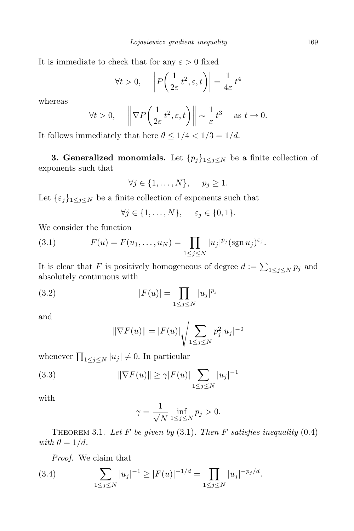It is immediate to check that for any  $\varepsilon > 0$  fixed

$$
\forall t > 0, \quad \left| P\left(\frac{1}{2\varepsilon}t^2, \varepsilon, t\right) \right| = \frac{1}{4\varepsilon}t^4
$$

whereas

$$
\forall t > 0,
$$
,  $\left\|\nabla P\left(\frac{1}{2\varepsilon}t^2, \varepsilon, t\right)\right\| \sim \frac{1}{\varepsilon}t^3$  as  $t \to 0$ .

It follows immediately that here  $\theta \leq 1/4 < 1/3 = 1/d$ .

**3. Generalized monomials.** Let  $\{p_j\}_{1 \leq j \leq N}$  be a finite collection of exponents such that

$$
\forall j \in \{1, \ldots, N\}, \quad p_j \geq 1.
$$

Let  $\{\varepsilon_j\}_{1\leq j\leq N}$  be a finite collection of exponents such that

$$
\forall j \in \{1, \ldots, N\}, \quad \varepsilon_j \in \{0, 1\}.
$$

We consider the function

(3.1) 
$$
F(u) = F(u_1, ..., u_N) = \prod_{1 \le j \le N} |u_j|^{p_j} (\operatorname{sgn} u_j)^{\varepsilon_j}.
$$

It is clear that *F* is positively homogeneous of degree  $d := \sum_{1 \leq j \leq N} p_j$  and absolutely continuous with

(3.2) 
$$
|F(u)| = \prod_{1 \le j \le N} |u_j|^{p_j}
$$

and

$$
\|\nabla F(u)\| = |F(u)| \sqrt{\sum_{1 \le j \le N} p_j^2 |u_j|^{-2}}
$$

whenever  $\prod_{1 \leq j \leq N} |u_j| \neq 0$ . In particular

(3.3) 
$$
\|\nabla F(u)\| \ge \gamma |F(u)| \sum_{1 \le j \le N} |u_j|^{-1}
$$

with

$$
\gamma = \frac{1}{\sqrt{N}} \inf_{1 \le j \le N} p_j > 0.
$$

THEOREM 3.1. Let F be given by  $(3.1)$ . Then F satisfies inequality  $(0.4)$ *with*  $\theta = 1/d$ *.* 

*Proof.* We claim that

(3.4) 
$$
\sum_{1 \leq j \leq N} |u_j|^{-1} \geq |F(u)|^{-1/d} = \prod_{1 \leq j \leq N} |u_j|^{-p_j/d}.
$$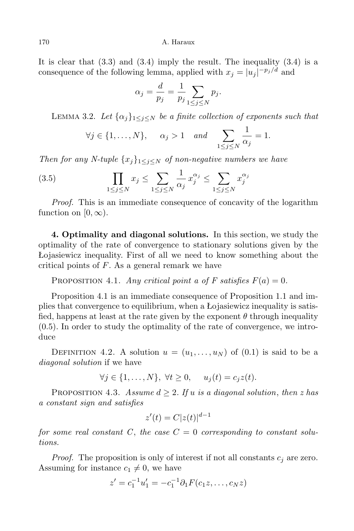170 A. Haraux

It is clear that  $(3.3)$  and  $(3.4)$  imply the result. The inequality  $(3.4)$  is a consequence of the following lemma, applied with  $x_j = |u_j|^{-p_j/d}$  and

$$
\alpha_j = \frac{d}{p_j} = \frac{1}{p_j} \sum_{1 \le j \le N} p_j.
$$

LEMMA 3.2. Let  $\{\alpha_j\}_{1 \leq j \leq N}$  be a finite collection of exponents such that

$$
\forall j \in \{1, ..., N\}, \quad \alpha_j > 1 \quad and \quad \sum_{1 \le j \le N} \frac{1}{\alpha_j} = 1.
$$

*Then for any N-tuple*  $\{x_i\}_{1 \leq i \leq N}$  *of non-negative numbers we have* 

$$
(3.5) \qquad \prod_{1 \le j \le N} x_j \le \sum_{1 \le j \le N} \frac{1}{\alpha_j} x_j^{\alpha_j} \le \sum_{1 \le j \le N} x_j^{\alpha_j}
$$

*Proof.* This is an immediate consequence of concavity of the logarithm function on  $[0, \infty)$ .

**4. Optimality and diagonal solutions.** In this section, we study the optimality of the rate of convergence to stationary solutions given by the Łojasiewicz inequality. First of all we need to know something about the critical points of *F*. As a general remark we have

PROPOSITION 4.1. *Any critical point a of F satisfies*  $F(a) = 0$ .

Proposition 4.1 is an immediate consequence of Proposition 1.1 and implies that convergence to equilibrium, when a Łojasiewicz inequality is satisfied, happens at least at the rate given by the exponent  $\theta$  through inequality (0.5). In order to study the optimality of the rate of convergence, we introduce

DEFINITION 4.2. A solution  $u = (u_1, \ldots, u_N)$  of  $(0.1)$  is said to be a *diagonal solution* if we have

$$
\forall j \in \{1,\ldots,N\}, \ \forall t \geq 0, \quad u_j(t) = c_j z(t).
$$

PROPOSITION 4.3. *Assume*  $d \geq 2$ *. If u is a diagonal solution, then z has a constant sign and satisfies*

$$
z'(t) = C|z(t)|^{d-1}
$$

for some real constant C, the case  $C = 0$  corresponding to constant solu*tions.*

*Proof.* The proposition is only of interest if not all constants *c<sup>j</sup>* are zero. Assuming for instance  $c_1 \neq 0$ , we have

$$
z' = c_1^{-1}u'_1 = -c_1^{-1}\partial_1 F(c_1z, \dots, c_Nz)
$$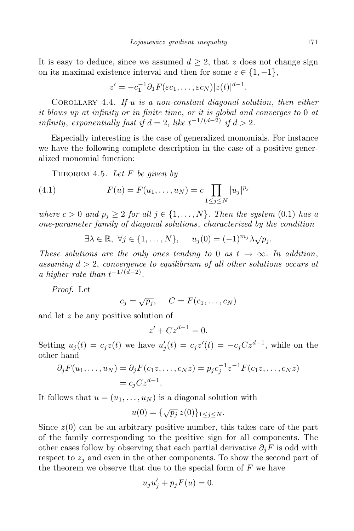It is easy to deduce, since we assumed  $d \geq 2$ , that *z* does not change sign on its maximal existence interval and then for some  $\varepsilon \in \{1, -1\}$ ,

$$
z' = -c_1^{-1} \partial_1 F(\varepsilon c_1, \dots, \varepsilon c_N) |z(t)|^{d-1}.
$$

Corollary 4.4. *If u is a non-constant diagonal solution*, *then either it blows up at infinity or in finite time*, *or it is global and converges to* 0 *at infinity*, *exponentially fast if*  $d = 2$ , *like*  $t^{-1/(d-2)}$  *if*  $d > 2$ .

Especially interesting is the case of generalized monomials. For instance we have the following complete description in the case of a positive generalized monomial function:

Theorem 4.5. *Let F be given by*

(4.1) 
$$
F(u) = F(u_1, ..., u_N) = c \prod_{1 \le j \le N} |u_j|^{p_j}
$$

*where*  $c > 0$  *and*  $p_j \geq 2$  *for all*  $j \in \{1, \ldots, N\}$ *. Then the system* (0.1) *has a one-parameter family of diagonal solutions*, *characterized by the condition*

$$
\exists \lambda \in \mathbb{R}, \ \forall j \in \{1, \dots, N\}, \quad u_j(0) = (-1)^{m_j} \lambda \sqrt{p_j}.
$$

*These solutions are the only ones tending to* 0 *as*  $t \rightarrow \infty$ *. In addition, assuming d >* 2, *convergence to equilibrium of all other solutions occurs at a* higher rate than  $t^{-1/(d-2)}$ .

*Proof.* Let

$$
c_j = \sqrt{p_j}, \quad C = F(c_1, \dots, c_N)
$$

and let *z* be any positive solution of

$$
z' + Cz^{d-1} = 0.
$$

Setting  $u_j(t) = c_j z(t)$  we have  $u'_j(t) = c_j z'(t) = -c_j C z^{d-1}$ , while on the other hand

$$
\partial_j F(u_1, \dots, u_N) = \partial_j F(c_1 z, \dots, c_N z) = p_j c_j^{-1} z^{-1} F(c_1 z, \dots, c_N z) = c_j C z^{d-1}.
$$

It follows that  $u = (u_1, \ldots, u_N)$  is a diagonal solution with

$$
u(0) = \{\sqrt{p_j} \, z(0)\}_{1 \leq j \leq N}.
$$

Since  $z(0)$  can be an arbitrary positive number, this takes care of the part of the family corresponding to the positive sign for all components. The other cases follow by observing that each partial derivative  $\partial_i F$  is odd with respect to  $z_j$  and even in the other components. To show the second part of the theorem we observe that due to the special form of *F* we have

$$
u_j u'_j + p_j F(u) = 0.
$$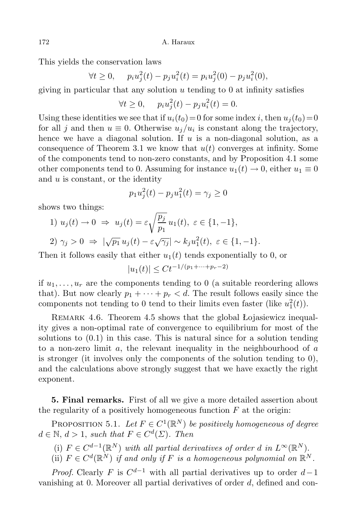This yields the conservation laws

$$
\forall t \ge 0, \quad p_i u_j^2(t) - p_j u_i^2(t) = p_i u_j^2(0) - p_j u_i^2(0),
$$

giving in particular that any solution *u* tending to 0 at infinity satisfies

$$
\forall t \ge 0, \quad p_i u_j^2(t) - p_j u_i^2(t) = 0.
$$

Using these identities we see that if  $u_i(t_0) = 0$  for some index *i*, then  $u_i(t_0) = 0$ for all *j* and then  $u \equiv 0$ . Otherwise  $u_j/u_i$  is constant along the trajectory, hence we have a diagonal solution. If *u* is a non-diagonal solution, as a consequence of Theorem 3.1 we know that  $u(t)$  converges at infinity. Some of the components tend to non-zero constants, and by Proposition 4.1 some other components tend to 0. Assuming for instance  $u_1(t) \to 0$ , either  $u_1 \equiv 0$ and *u* is constant, or the identity

$$
p_1 u_j^2(t) - p_j u_1^2(t) = \gamma_j \ge 0
$$

shows two things:

1) 
$$
u_j(t) \to 0 \Rightarrow u_j(t) = \varepsilon \sqrt{\frac{p_j}{p_1}} u_1(t), \ \varepsilon \in \{1, -1\},
$$
  
2)  $\gamma_j > 0 \Rightarrow |\sqrt{p_1} u_j(t) - \varepsilon \sqrt{\gamma_j}| \sim k_j u_1^2(t), \ \varepsilon \in \{1, -1\}.$ 

Then it follows easily that either  $u_1(t)$  tends exponentially to 0, or

$$
|u_1(t)| \le Ct^{-1/(p_1 + \dots + p_r - 2)}
$$

if  $u_1, \ldots, u_r$  are the components tending to 0 (a suitable reordering allows that). But now clearly  $p_1 + \cdots + p_r < d$ . The result follows easily since the components not tending to 0 tend to their limits even faster (like  $u_1^2(t)$ ).

REMARK 4.6. Theorem 4.5 shows that the global Łojasiewicz inequality gives a non-optimal rate of convergence to equilibrium for most of the solutions to  $(0.1)$  in this case. This is natural since for a solution tending to a non-zero limit *a*, the relevant inequality in the neighbourhood of *a* is stronger (it involves only the components of the solution tending to 0), and the calculations above strongly suggest that we have exactly the right exponent.

**5. Final remarks.** First of all we give a more detailed assertion about the regularity of a positively homogeneous function *F* at the origin:

PROPOSITION 5.1. Let  $F \in C^1(\mathbb{R}^N)$  be positively homogeneous of degree  $d \in \mathbb{N}, d > 1$ , *such that*  $F \in C^d(\Sigma)$ . *Then* 

- (i)  $F \in C^{d-1}(\mathbb{R}^N)$  *with all partial derivatives of order d in*  $L^{\infty}(\mathbb{R}^N)$ .
- (ii)  $F \in C^d(\mathbb{R}^N)$  *if and only if F is a homogeneous polynomial on*  $\mathbb{R}^N$ *.*

*Proof.* Clearly *F* is  $C^{d-1}$  with all partial derivatives up to order  $d-1$ vanishing at 0. Moreover all partial derivatives of order *d*, defined and con-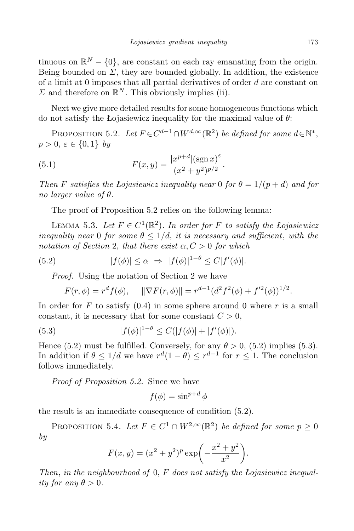tinuous on  $\mathbb{R}^N - \{0\}$ , are constant on each ray emanating from the origin. Being bounded on  $\Sigma$ , they are bounded globally. In addition, the existence of a limit at 0 imposes that all partial derivatives of order *d* are constant on  $\Sigma$  and therefore on  $\mathbb{R}^N$ . This obviously implies (ii).

Next we give more detailed results for some homogeneous functions which do not satisfy the Łojasiewicz inequality for the maximal value of *θ*:

PROPOSITION 5.2. Let  $F \in C^{d-1} \cap W^{d,\infty}(\mathbb{R}^2)$  be defined for some  $d \in \mathbb{N}^*$ ,  $p > 0, \varepsilon \in \{0, 1\}$  *by* 

(5.1) 
$$
F(x,y) = \frac{|x^{p+d}|(\operatorname{sgn} x)^{\varepsilon}}{(x^2 + y^2)^{p/2}}.
$$

*Then F satisfies the Lojasiewicz inequality near* 0 *for*  $\theta = 1/(p+d)$  *and for no larger value of θ.*

The proof of Proposition 5.2 relies on the following lemma:

LEMMA 5.3. Let  $F \in C^1(\mathbb{R}^2)$ . In order for *F* to satisfy the Lojasiewicz *inequality near* 0 *for some*  $\theta \leq 1/d$ , *it is necessary and sufficient*, *with the notation of Section* 2, *that there exist α, C >* 0 *for which*

(5.2) 
$$
|f(\phi)| \leq \alpha \Rightarrow |f(\phi)|^{1-\theta} \leq C|f'(\phi)|.
$$

*Proof.* Using the notation of Section 2 we have

$$
F(r,\phi) = r^d f(\phi), \quad \|\nabla F(r,\phi)\| = r^{d-1} (d^2 f^2(\phi) + f'^2(\phi))^{1/2}.
$$

In order for  $F$  to satisfy  $(0.4)$  in some sphere around 0 where  $r$  is a small constant, it is necessary that for some constant  $C > 0$ ,

(5.3) 
$$
|f(\phi)|^{1-\theta} \leq C(|f(\phi)| + |f'(\phi)|).
$$

Hence (5.2) must be fulfilled. Conversely, for any  $\theta > 0$ , (5.2) implies (5.3). In addition if  $\theta \leq 1/d$  we have  $r^d(1-\theta) \leq r^{d-1}$  for  $r \leq 1$ . The conclusion follows immediately.

*Proof of Proposition 5.2.* Since we have

$$
f(\phi) = \sin^{p+d} \phi
$$

the result is an immediate consequence of condition (5.2).

PROPOSITION 5.4. *Let*  $F \in C^1 \cap W^{2,\infty}(\mathbb{R}^2)$  *be defined for some*  $p \ge 0$ *by*

$$
F(x, y) = (x^{2} + y^{2})^{p} \exp\left(-\frac{x^{2} + y^{2}}{x^{2}}\right).
$$

*Then*, *in the neighbourhood of* 0, *F does not satisfy the Łojasiewicz inequality for any*  $\theta > 0$ *.*